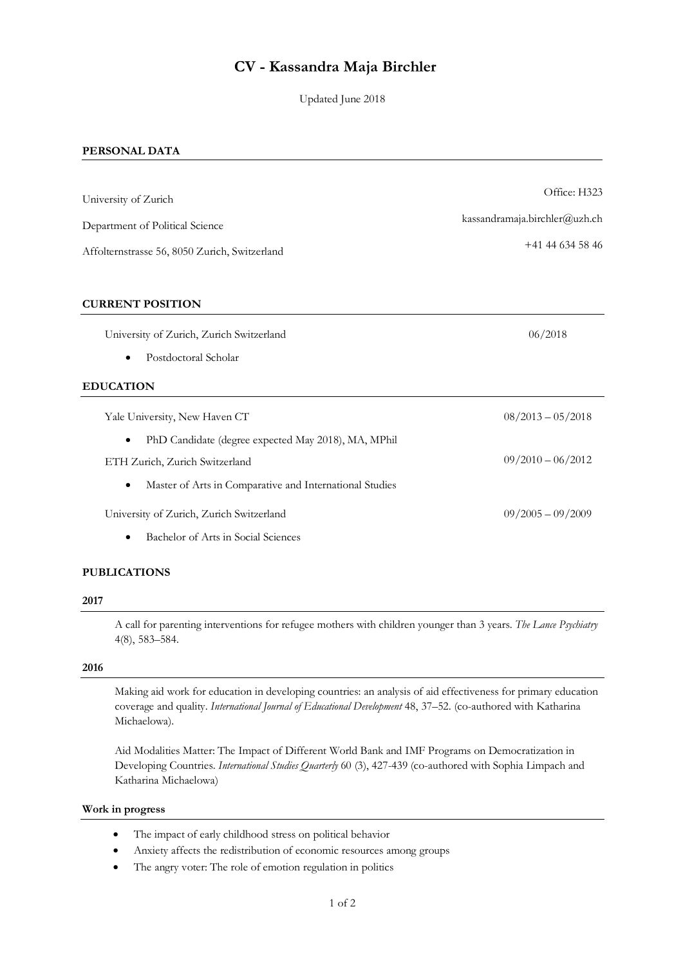# **CV - Kassandra Maja Birchler**

Updated June 2018

#### **PERSONAL DATA**

| University of Zurich                                             | Office: H323                  |
|------------------------------------------------------------------|-------------------------------|
| Department of Political Science                                  | kassandramaja.birchler@uzh.ch |
| Affolternstrasse 56, 8050 Zurich, Switzerland                    | $+41$ 44 634 58 46            |
| <b>CURRENT POSITION</b>                                          |                               |
| University of Zurich, Zurich Switzerland                         | 06/2018                       |
| Postdoctoral Scholar                                             |                               |
| <b>EDUCATION</b>                                                 |                               |
| Yale University, New Haven CT                                    | $08/2013 - 05/2018$           |
| PhD Candidate (degree expected May 2018), MA, MPhil<br>$\bullet$ |                               |
| ETH Zurich, Zurich Switzerland                                   | $09/2010 - 06/2012$           |
| Master of Arts in Comparative and International Studies<br>٠     |                               |
| University of Zurich, Zurich Switzerland                         | $09/2005 - 09/2009$           |
| Bachelor of Arts in Social Sciences                              |                               |

# **PUBLICATIONS**

#### **2017**

A call for parenting interventions for refugee mothers with children younger than 3 years. *The Lance Psychiatry*  4(8), 583–584.

## **2016**

Making aid work for education in developing countries: an analysis of aid effectiveness for primary education coverage and quality. *International Journal of Educational Development* 48, 37–52. (co-authored with Katharina Michaelowa).

Aid Modalities Matter: The Impact of Different World Bank and IMF Programs on Democratization in Developing Countries. *International Studies Quarterly* 60 (3), 427-439 (co-authored with Sophia Limpach and Katharina Michaelowa)

# **Work in progress**

- The impact of early childhood stress on political behavior
- Anxiety affects the redistribution of economic resources among groups
- The angry voter: The role of emotion regulation in politics